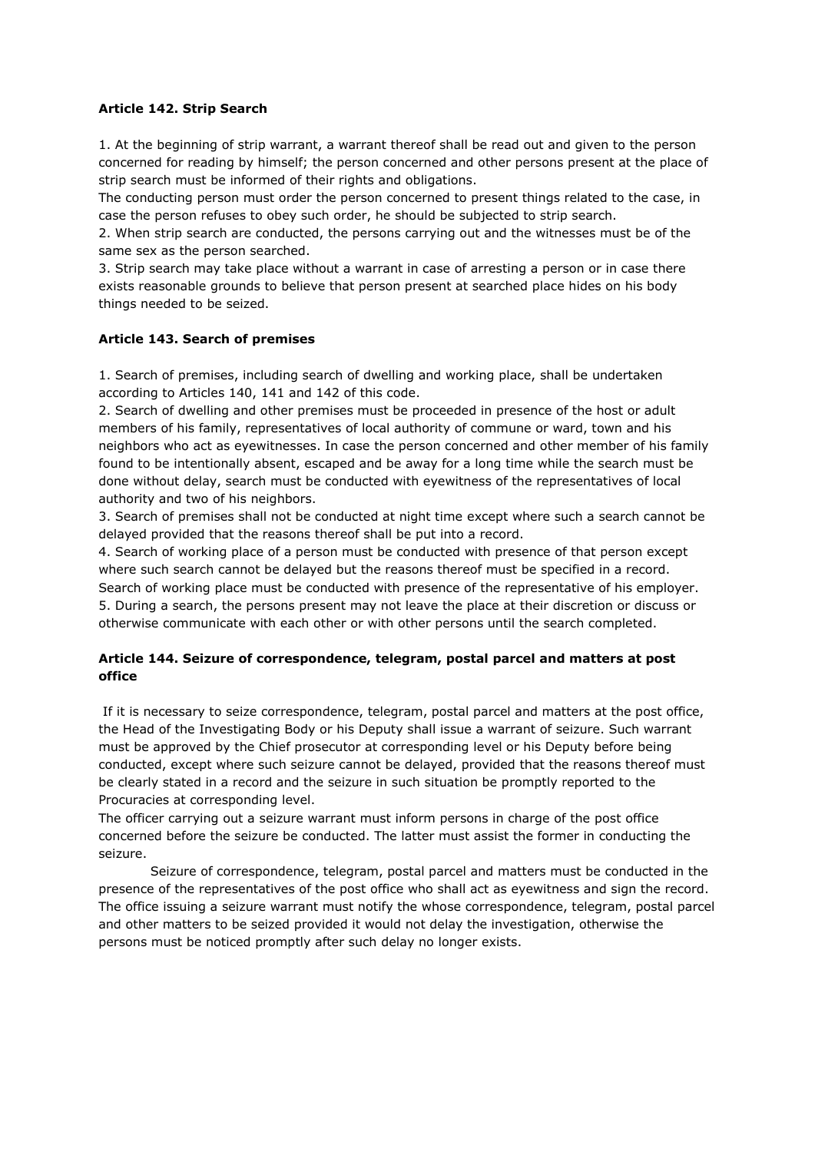## **Article 142. Strip Search**

1. At the beginning of strip warrant, a warrant thereof shall be read out and given to the person concerned for reading by himself; the person concerned and other persons present at the place of strip search must be informed of their rights and obligations.

The conducting person must order the person concerned to present things related to the case, in case the person refuses to obey such order, he should be subjected to strip search.

2. When strip search are conducted, the persons carrying out and the witnesses must be of the same sex as the person searched.

3. Strip search may take place without a warrant in case of arresting a person or in case there exists reasonable grounds to believe that person present at searched place hides on his body things needed to be seized.

## **Article 143. Search of premises**

1. Search of premises, including search of dwelling and working place, shall be undertaken according to Articles 140, 141 and 142 of this code.

2. Search of dwelling and other premises must be proceeded in presence of the host or adult members of his family, representatives of local authority of commune or ward, town and his neighbors who act as eyewitnesses. In case the person concerned and other member of his family found to be intentionally absent, escaped and be away for a long time while the search must be done without delay, search must be conducted with eyewitness of the representatives of local authority and two of his neighbors.

3. Search of premises shall not be conducted at night time except where such a search cannot be delayed provided that the reasons thereof shall be put into a record.

4. Search of working place of a person must be conducted with presence of that person except where such search cannot be delayed but the reasons thereof must be specified in a record. Search of working place must be conducted with presence of the representative of his employer. 5. During a search, the persons present may not leave the place at their discretion or discuss or otherwise communicate with each other or with other persons until the search completed.

## **Article 144. Seizure of correspondence, telegram, postal parcel and matters at post office**

If it is necessary to seize correspondence, telegram, postal parcel and matters at the post office, the Head of the Investigating Body or his Deputy shall issue a warrant of seizure. Such warrant must be approved by the Chief prosecutor at corresponding level or his Deputy before being conducted, except where such seizure cannot be delayed, provided that the reasons thereof must be clearly stated in a record and the seizure in such situation be promptly reported to the Procuracies at corresponding level.

The officer carrying out a seizure warrant must inform persons in charge of the post office concerned before the seizure be conducted. The latter must assist the former in conducting the seizure.

 Seizure of correspondence, telegram, postal parcel and matters must be conducted in the presence of the representatives of the post office who shall act as eyewitness and sign the record. The office issuing a seizure warrant must notify the whose correspondence, telegram, postal parcel and other matters to be seized provided it would not delay the investigation, otherwise the persons must be noticed promptly after such delay no longer exists.